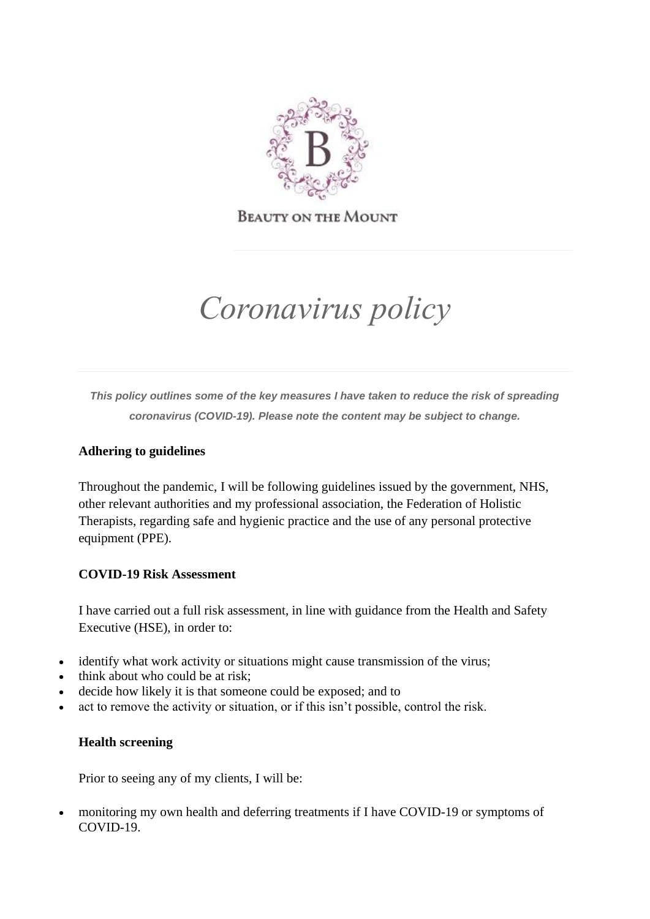

**BEAUTY ON THE MOUNT** 

# *Coronavirus policy*

*This policy outlines some of the key measures I have taken to reduce the risk of spreading coronavirus (COVID-19). Please note the content may be subject to change.*

# **Adhering to guidelines**

Throughout the pandemic, I will be following guidelines issued by the government, NHS, other relevant authorities and my professional association, the Federation of Holistic Therapists, regarding safe and hygienic practice and the use of any personal protective equipment (PPE).

## **COVID-19 Risk Assessment**

I have carried out a full risk assessment, in line with guidance from the Health and Safety Executive (HSE), in order to:

- identify what work activity or situations might cause transmission of the virus;
- think about who could be at risk;
- decide how likely it is that someone could be exposed; and to
- act to remove the activity or situation, or if this isn't possible, control the risk.

## **Health screening**

Prior to seeing any of my clients, I will be:

• monitoring my own health and deferring treatments if I have COVID-19 or symptoms of COVID-19.